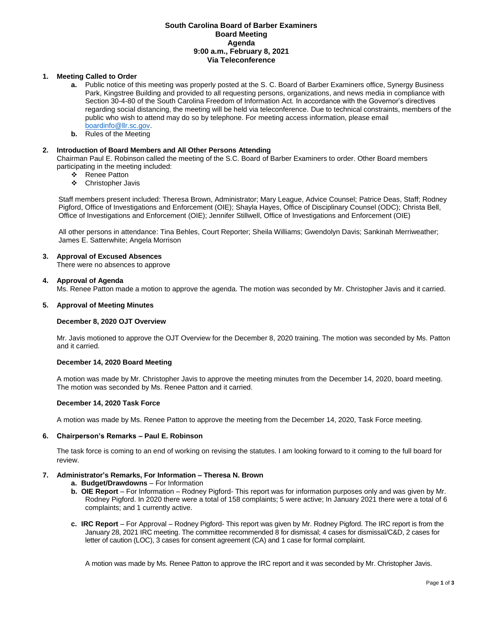# **South Carolina Board of Barber Examiners Board Meeting Agenda 9:00 a.m., February 8, 2021 Via Teleconference**

# **1. Meeting Called to Order**

- **a.** Public notice of this meeting was properly posted at the S. C. Board of Barber Examiners office, Synergy Business Park, Kingstree Building and provided to all requesting persons, organizations, and news media in compliance with Section 30-4-80 of the South Carolina Freedom of Information Act. In accordance with the Governor's directives regarding social distancing, the meeting will be held via teleconference. Due to technical constraints, members of the public who wish to attend may do so by telephone. For meeting access information, please email [boardinfo@llr.sc.gov.](mailto:boardinfo@llr.sc.gov)
- **b.** Rules of the Meeting

# **2. Introduction of Board Members and All Other Persons Attending**

Chairman Paul E. Robinson called the meeting of the S.C. Board of Barber Examiners to order. Other Board members participating in the meeting included:

- ❖ Renee Patton
- Christopher Javis

Staff members present included: Theresa Brown, Administrator; Mary League, Advice Counsel; Patrice Deas, Staff; Rodney Pigford, Office of Investigations and Enforcement (OIE); Shayla Hayes, Office of Disciplinary Counsel (ODC); Christa Bell, Office of Investigations and Enforcement (OIE); Jennifer Stillwell, Office of Investigations and Enforcement (OIE)

All other persons in attendance: Tina Behles, Court Reporter; Sheila Williams; Gwendolyn Davis; Sankinah Merriweather; James E. Satterwhite; Angela Morrison

# **3. Approval of Excused Absences**

There were no absences to approve

#### **4. Approval of Agenda**

Ms. Renee Patton made a motion to approve the agenda. The motion was seconded by Mr. Christopher Javis and it carried.

# **5. Approval of Meeting Minutes**

#### **December 8, 2020 OJT Overview**

Mr. Javis motioned to approve the OJT Overview for the December 8, 2020 training. The motion was seconded by Ms. Patton and it carried.

### **December 14, 2020 Board Meeting**

A motion was made by Mr. Christopher Javis to approve the meeting minutes from the December 14, 2020, board meeting. The motion was seconded by Ms. Renee Patton and it carried.

#### **December 14, 2020 Task Force**

A motion was made by Ms. Renee Patton to approve the meeting from the December 14, 2020, Task Force meeting.

#### **6. Chairperson's Remarks – Paul E. Robinson**

The task force is coming to an end of working on revising the statutes. I am looking forward to it coming to the full board for review.

# **7. Administrator's Remarks, For Information – Theresa N. Brown**

- **a. Budget/Drawdowns** For Information
- **b. OIE Report**  For Information Rodney Pigford- This report was for information purposes only and was given by Mr. Rodney Pigford. In 2020 there were a total of 158 complaints; 5 were active; In January 2021 there were a total of 6 complaints; and 1 currently active.
- **c. IRC Report**  For Approval Rodney Pigford- This report was given by Mr. Rodney Pigford. The IRC report is from the January 28, 2021 IRC meeting. The committee recommended 8 for dismissal; 4 cases for dismissal/C&D, 2 cases for letter of caution (LOC), 3 cases for consent agreement (CA) and 1 case for formal complaint.

A motion was made by Ms. Renee Patton to approve the IRC report and it was seconded by Mr. Christopher Javis.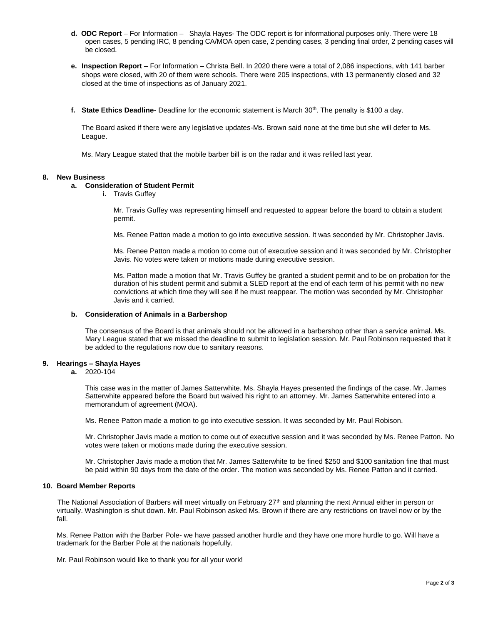- **d. ODC Report**  For Information Shayla Hayes- The ODC report is for informational purposes only. There were 18 open cases, 5 pending IRC, 8 pending CA/MOA open case, 2 pending cases, 3 pending final order, 2 pending cases will be closed.
- **e. Inspection Report** For Information Christa Bell. In 2020 there were a total of 2,086 inspections, with 141 barber shops were closed, with 20 of them were schools. There were 205 inspections, with 13 permanently closed and 32 closed at the time of inspections as of January 2021.
- **f. State Ethics Deadline-** Deadline for the economic statement is March 30th. The penalty is \$100 a day.

The Board asked if there were any legislative updates-Ms. Brown said none at the time but she will defer to Ms. League.

Ms. Mary League stated that the mobile barber bill is on the radar and it was refiled last year.

# **8. New Business**

# **a. Consideration of Student Permit**

**i.** Travis Guffey

Mr. Travis Guffey was representing himself and requested to appear before the board to obtain a student permit.

Ms. Renee Patton made a motion to go into executive session. It was seconded by Mr. Christopher Javis.

Ms. Renee Patton made a motion to come out of executive session and it was seconded by Mr. Christopher Javis. No votes were taken or motions made during executive session.

Ms. Patton made a motion that Mr. Travis Guffey be granted a student permit and to be on probation for the duration of his student permit and submit a SLED report at the end of each term of his permit with no new convictions at which time they will see if he must reappear. The motion was seconded by Mr. Christopher Javis and it carried.

## **b. Consideration of Animals in a Barbershop**

The consensus of the Board is that animals should not be allowed in a barbershop other than a service animal. Ms. Mary League stated that we missed the deadline to submit to legislation session. Mr. Paul Robinson requested that it be added to the regulations now due to sanitary reasons.

# **9. Hearings – Shayla Hayes**

**a.** 2020-104

This case was in the matter of James Satterwhite. Ms. Shayla Hayes presented the findings of the case. Mr. James Satterwhite appeared before the Board but waived his right to an attorney. Mr. James Satterwhite entered into a memorandum of agreement (MOA).

Ms. Renee Patton made a motion to go into executive session. It was seconded by Mr. Paul Robison.

Mr. Christopher Javis made a motion to come out of executive session and it was seconded by Ms. Renee Patton. No votes were taken or motions made during the executive session.

Mr. Christopher Javis made a motion that Mr. James Satterwhite to be fined \$250 and \$100 sanitation fine that must be paid within 90 days from the date of the order. The motion was seconded by Ms. Renee Patton and it carried.

# **10. Board Member Reports**

The National Association of Barbers will meet virtually on February 27<sup>th</sup> and planning the next Annual either in person or virtually. Washington is shut down. Mr. Paul Robinson asked Ms. Brown if there are any restrictions on travel now or by the fall.

Ms. Renee Patton with the Barber Pole- we have passed another hurdle and they have one more hurdle to go. Will have a trademark for the Barber Pole at the nationals hopefully.

Mr. Paul Robinson would like to thank you for all your work!